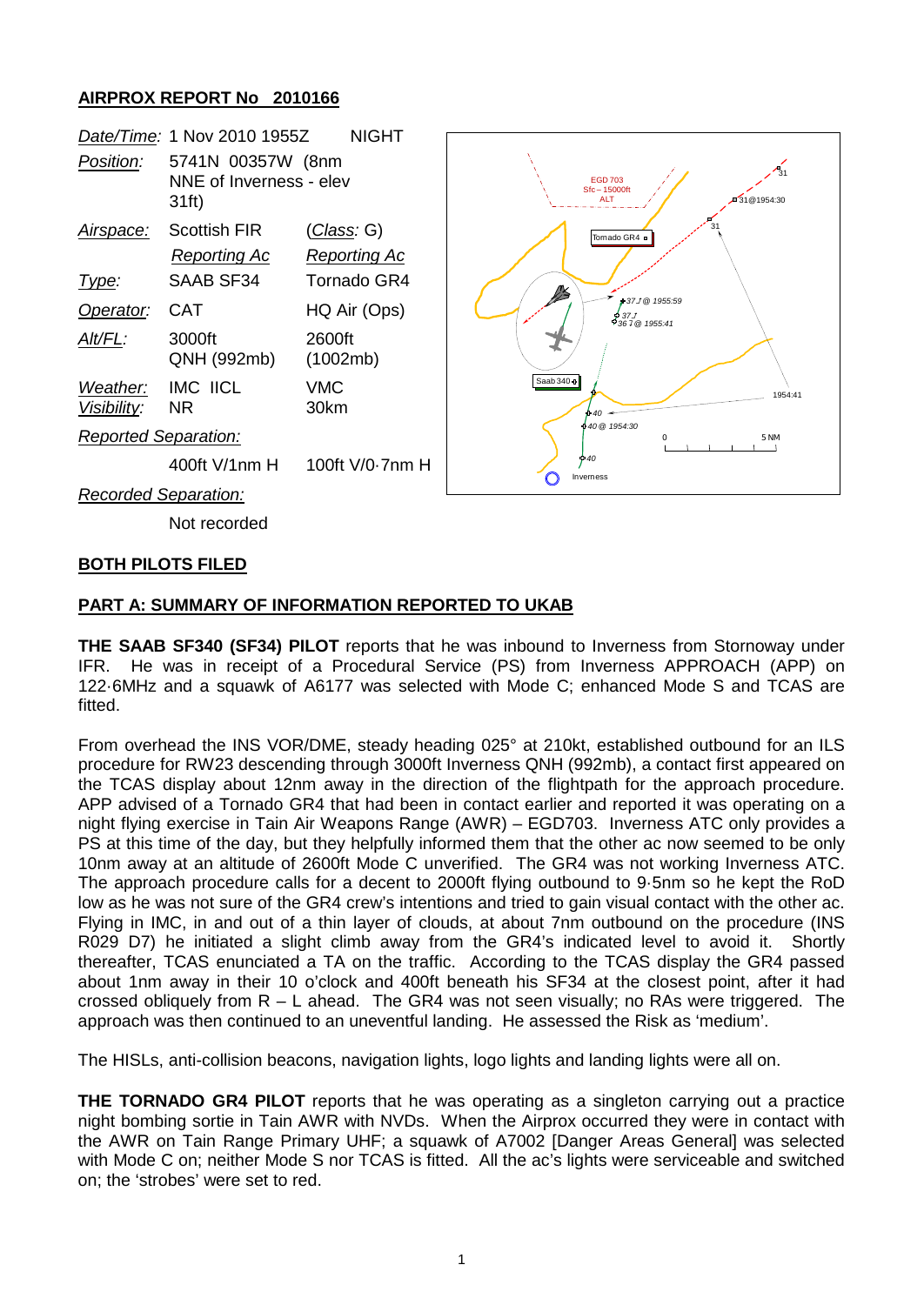# **AIRPROX REPORT No 2010166**



### **BOTH PILOTS FILED**

# **PART A: SUMMARY OF INFORMATION REPORTED TO UKAB**

**THE SAAB SF340 (SF34) PILOT** reports that he was inbound to Inverness from Stornoway under IFR. He was in receipt of a Procedural Service (PS) from Inverness APPROACH (APP) on 122·6MHz and a squawk of A6177 was selected with Mode C; enhanced Mode S and TCAS are fitted.

From overhead the INS VOR/DME, steady heading 025° at 210kt, established outbound for an ILS procedure for RW23 descending through 3000ft Inverness QNH (992mb), a contact first appeared on the TCAS display about 12nm away in the direction of the flightpath for the approach procedure. APP advised of a Tornado GR4 that had been in contact earlier and reported it was operating on a night flying exercise in Tain Air Weapons Range (AWR) – EGD703. Inverness ATC only provides a PS at this time of the day, but they helpfully informed them that the other ac now seemed to be only 10nm away at an altitude of 2600ft Mode C unverified. The GR4 was not working Inverness ATC. The approach procedure calls for a decent to 2000ft flying outbound to 9·5nm so he kept the RoD low as he was not sure of the GR4 crew's intentions and tried to gain visual contact with the other ac. Flying in IMC, in and out of a thin layer of clouds, at about 7nm outbound on the procedure (INS R029 D7) he initiated a slight climb away from the GR4's indicated level to avoid it. Shortly thereafter, TCAS enunciated a TA on the traffic. According to the TCAS display the GR4 passed about 1nm away in their 10 o'clock and 400ft beneath his SF34 at the closest point, after it had crossed obliquely from R – L ahead. The GR4 was not seen visually; no RAs were triggered. The approach was then continued to an uneventful landing. He assessed the Risk as 'medium'.

The HISLs, anti-collision beacons, navigation lights, logo lights and landing lights were all on.

**THE TORNADO GR4 PILOT** reports that he was operating as a singleton carrying out a practice night bombing sortie in Tain AWR with NVDs. When the Airprox occurred they were in contact with the AWR on Tain Range Primary UHF; a squawk of A7002 [Danger Areas General] was selected with Mode C on; neither Mode S nor TCAS is fitted. All the ac's lights were serviceable and switched on; the 'strobes' were set to red.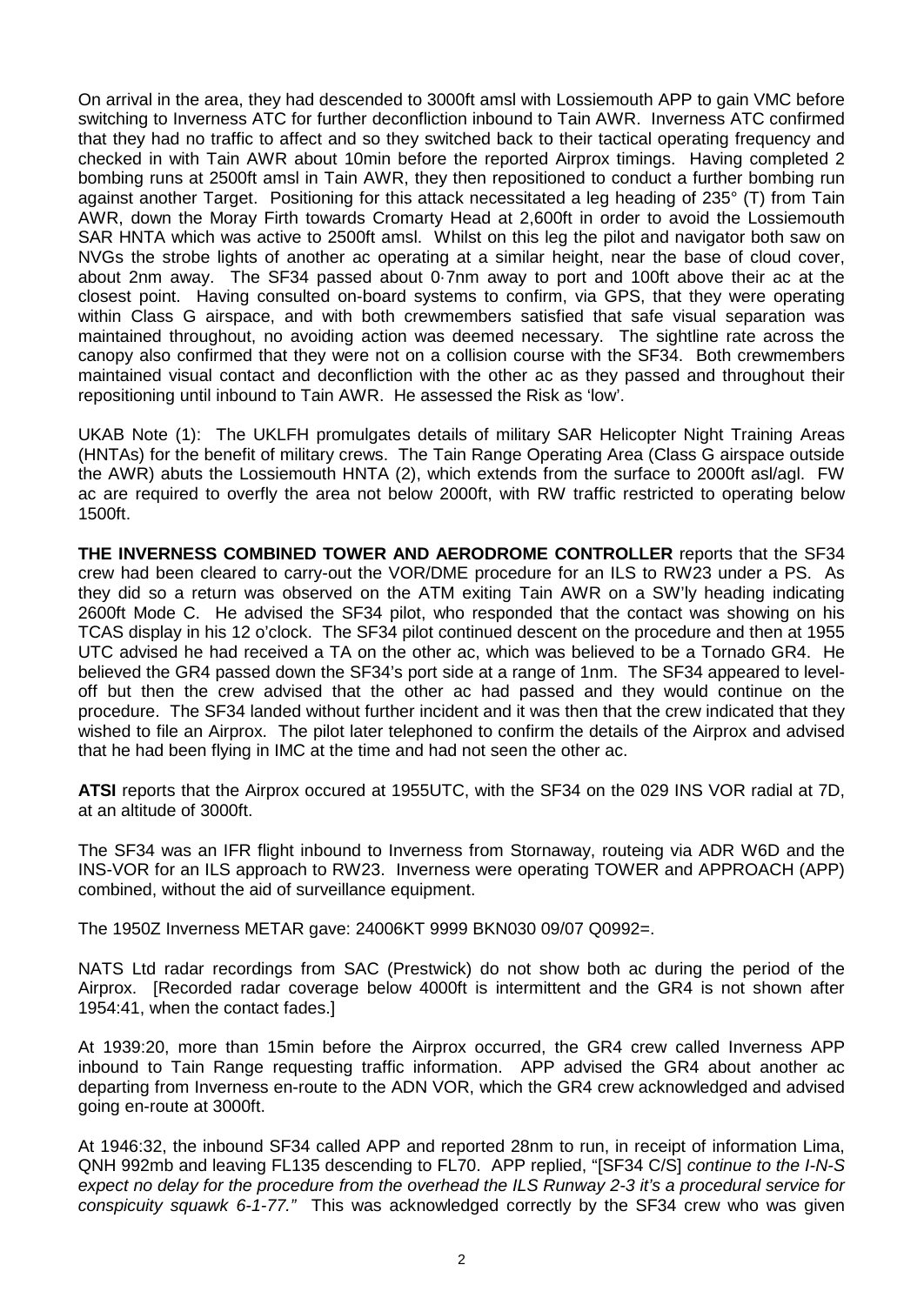On arrival in the area, they had descended to 3000ft amsl with Lossiemouth APP to gain VMC before switching to Inverness ATC for further deconfliction inbound to Tain AWR. Inverness ATC confirmed that they had no traffic to affect and so they switched back to their tactical operating frequency and checked in with Tain AWR about 10min before the reported Airprox timings. Having completed 2 bombing runs at 2500ft amsl in Tain AWR, they then repositioned to conduct a further bombing run against another Target. Positioning for this attack necessitated a leg heading of 235° (T) from Tain AWR, down the Moray Firth towards Cromarty Head at 2,600ft in order to avoid the Lossiemouth SAR HNTA which was active to 2500ft amsl. Whilst on this leg the pilot and navigator both saw on NVGs the strobe lights of another ac operating at a similar height, near the base of cloud cover, about 2nm away. The SF34 passed about 0·7nm away to port and 100ft above their ac at the closest point. Having consulted on-board systems to confirm, via GPS, that they were operating within Class G airspace, and with both crewmembers satisfied that safe visual separation was maintained throughout, no avoiding action was deemed necessary. The sightline rate across the canopy also confirmed that they were not on a collision course with the SF34. Both crewmembers maintained visual contact and deconfliction with the other ac as they passed and throughout their repositioning until inbound to Tain AWR. He assessed the Risk as 'low'.

UKAB Note (1): The UKLFH promulgates details of military SAR Helicopter Night Training Areas (HNTAs) for the benefit of military crews. The Tain Range Operating Area (Class G airspace outside the AWR) abuts the Lossiemouth HNTA (2), which extends from the surface to 2000ft asl/agl. FW ac are required to overfly the area not below 2000ft, with RW traffic restricted to operating below 1500ft.

**THE INVERNESS COMBINED TOWER AND AERODROME CONTROLLER** reports that the SF34 crew had been cleared to carry-out the VOR/DME procedure for an ILS to RW23 under a PS. As they did so a return was observed on the ATM exiting Tain AWR on a SW'ly heading indicating 2600ft Mode C. He advised the SF34 pilot, who responded that the contact was showing on his TCAS display in his 12 o'clock. The SF34 pilot continued descent on the procedure and then at 1955 UTC advised he had received a TA on the other ac, which was believed to be a Tornado GR4. He believed the GR4 passed down the SF34's port side at a range of 1nm. The SF34 appeared to leveloff but then the crew advised that the other ac had passed and they would continue on the procedure. The SF34 landed without further incident and it was then that the crew indicated that they wished to file an Airprox. The pilot later telephoned to confirm the details of the Airprox and advised that he had been flying in IMC at the time and had not seen the other ac.

**ATSI** reports that the Airprox occured at 1955UTC, with the SF34 on the 029 INS VOR radial at 7D, at an altitude of 3000ft.

The SF34 was an IFR flight inbound to Inverness from Stornaway, routeing via ADR W6D and the INS-VOR for an ILS approach to RW23. Inverness were operating TOWER and APPROACH (APP) combined, without the aid of surveillance equipment.

The 1950Z Inverness METAR gave: 24006KT 9999 BKN030 09/07 Q0992=.

NATS Ltd radar recordings from SAC (Prestwick) do not show both ac during the period of the Airprox. [Recorded radar coverage below 4000ft is intermittent and the GR4 is not shown after 1954:41, when the contact fades.]

At 1939:20, more than 15min before the Airprox occurred, the GR4 crew called Inverness APP inbound to Tain Range requesting traffic information. APP advised the GR4 about another ac departing from Inverness en-route to the ADN VOR, which the GR4 crew acknowledged and advised going en-route at 3000ft.

At 1946:32, the inbound SF34 called APP and reported 28nm to run, in receipt of information Lima, QNH 992mb and leaving FL135 descending to FL70. APP replied, "[SF34 C/S] *continue to the I-N-S expect no delay for the procedure from the overhead the ILS Runway 2-3 it's a procedural service for conspicuity squawk 6-1-77."* This was acknowledged correctly by the SF34 crew who was given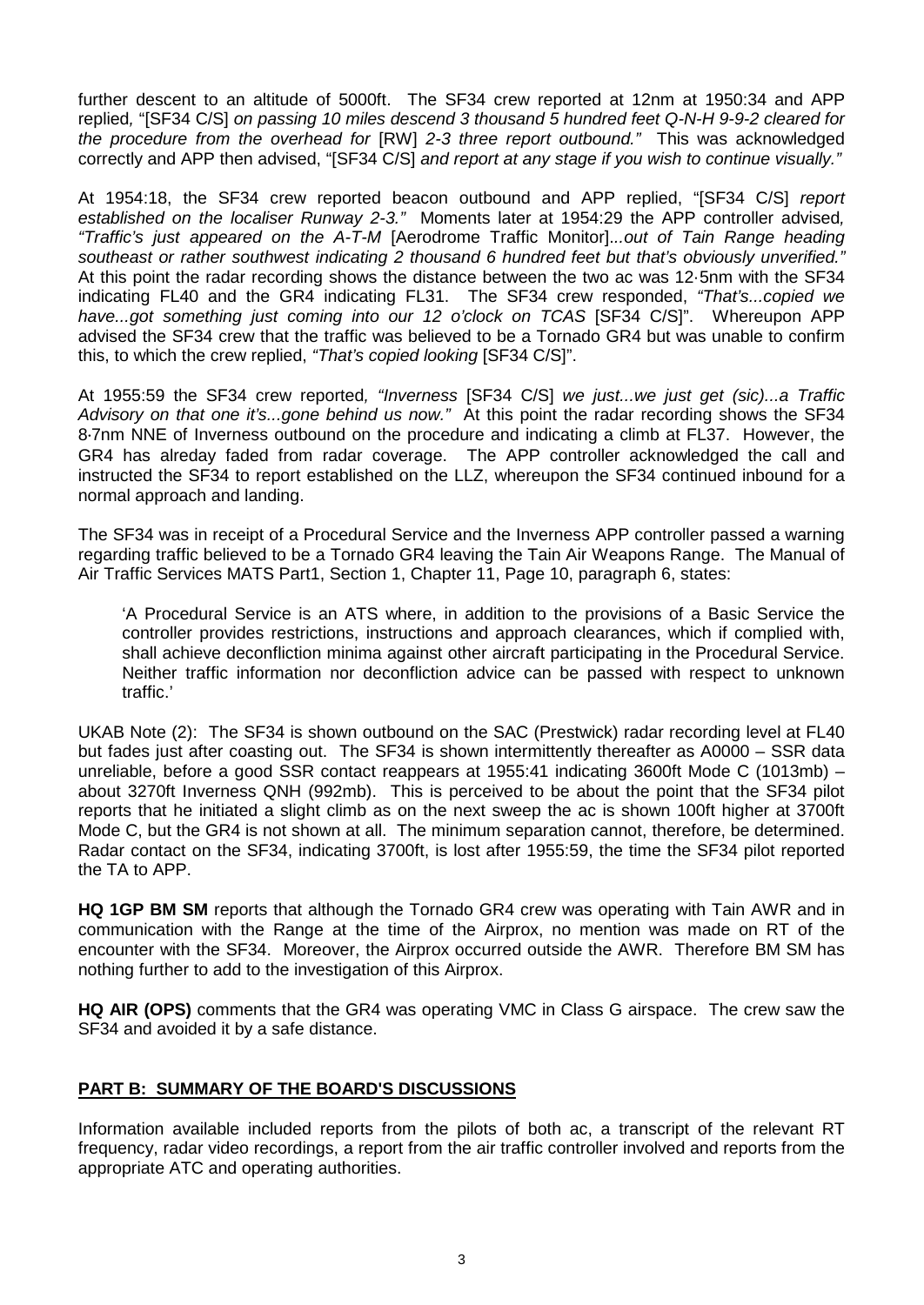further descent to an altitude of 5000ft. The SF34 crew reported at 12nm at 1950:34 and APP replied*,* "[SF34 C/S] *on passing 10 miles descend 3 thousand 5 hundred feet Q-N-H 9-9-2 cleared for the procedure from the overhead for* [RW] *2-3 three report outbound."* This was acknowledged correctly and APP then advised, "[SF34 C/S] *and report at any stage if you wish to continue visually."*

At 1954:18, the SF34 crew reported beacon outbound and APP replied, "[SF34 C/S] *report established on the localiser Runway 2-3."* Moments later at 1954:29 the APP controller advised*, "Traffic's just appeared on the A-T-M* [Aerodrome Traffic Monitor].*..out of Tain Range heading southeast or rather southwest indicating 2 thousand 6 hundred feet but that's obviously unverified."* At this point the radar recording shows the distance between the two ac was 12·5nm with the SF34 indicating FL40 and the GR4 indicating FL31. The SF34 crew responded, *"That's...copied we have...got something just coming into our 12 o'clock on TCAS* [SF34 C/S]". Whereupon APP advised the SF34 crew that the traffic was believed to be a Tornado GR4 but was unable to confirm this, to which the crew replied, *"That's copied looking* [SF34 C/S]".

At 1955:59 the SF34 crew reported*, "Inverness* [SF34 C/S] *we just...we just get (sic)...a Traffic Advisory on that one it's...gone behind us now."* At this point the radar recording shows the SF34 8·7nm NNE of Inverness outbound on the procedure and indicating a climb at FL37. However, the GR4 has alreday faded from radar coverage. The APP controller acknowledged the call and instructed the SF34 to report established on the LLZ, whereupon the SF34 continued inbound for a normal approach and landing.

The SF34 was in receipt of a Procedural Service and the Inverness APP controller passed a warning regarding traffic believed to be a Tornado GR4 leaving the Tain Air Weapons Range. The Manual of Air Traffic Services MATS Part1, Section 1, Chapter 11, Page 10, paragraph 6, states:

'A Procedural Service is an ATS where, in addition to the provisions of a Basic Service the controller provides restrictions, instructions and approach clearances, which if complied with, shall achieve deconfliction minima against other aircraft participating in the Procedural Service. Neither traffic information nor deconfliction advice can be passed with respect to unknown traffic.'

UKAB Note (2): The SF34 is shown outbound on the SAC (Prestwick) radar recording level at FL40 but fades just after coasting out. The SF34 is shown intermittently thereafter as A0000 – SSR data unreliable, before a good SSR contact reappears at 1955:41 indicating 3600ft Mode C (1013mb) – about 3270ft Inverness QNH (992mb). This is perceived to be about the point that the SF34 pilot reports that he initiated a slight climb as on the next sweep the ac is shown 100ft higher at 3700ft Mode C, but the GR4 is not shown at all. The minimum separation cannot, therefore, be determined. Radar contact on the SF34, indicating 3700ft, is lost after 1955:59, the time the SF34 pilot reported the TA to APP.

**HQ 1GP BM SM** reports that although the Tornado GR4 crew was operating with Tain AWR and in communication with the Range at the time of the Airprox, no mention was made on RT of the encounter with the SF34. Moreover, the Airprox occurred outside the AWR. Therefore BM SM has nothing further to add to the investigation of this Airprox.

**HQ AIR (OPS)** comments that the GR4 was operating VMC in Class G airspace. The crew saw the SF34 and avoided it by a safe distance.

### **PART B: SUMMARY OF THE BOARD'S DISCUSSIONS**

Information available included reports from the pilots of both ac, a transcript of the relevant RT frequency, radar video recordings, a report from the air traffic controller involved and reports from the appropriate ATC and operating authorities.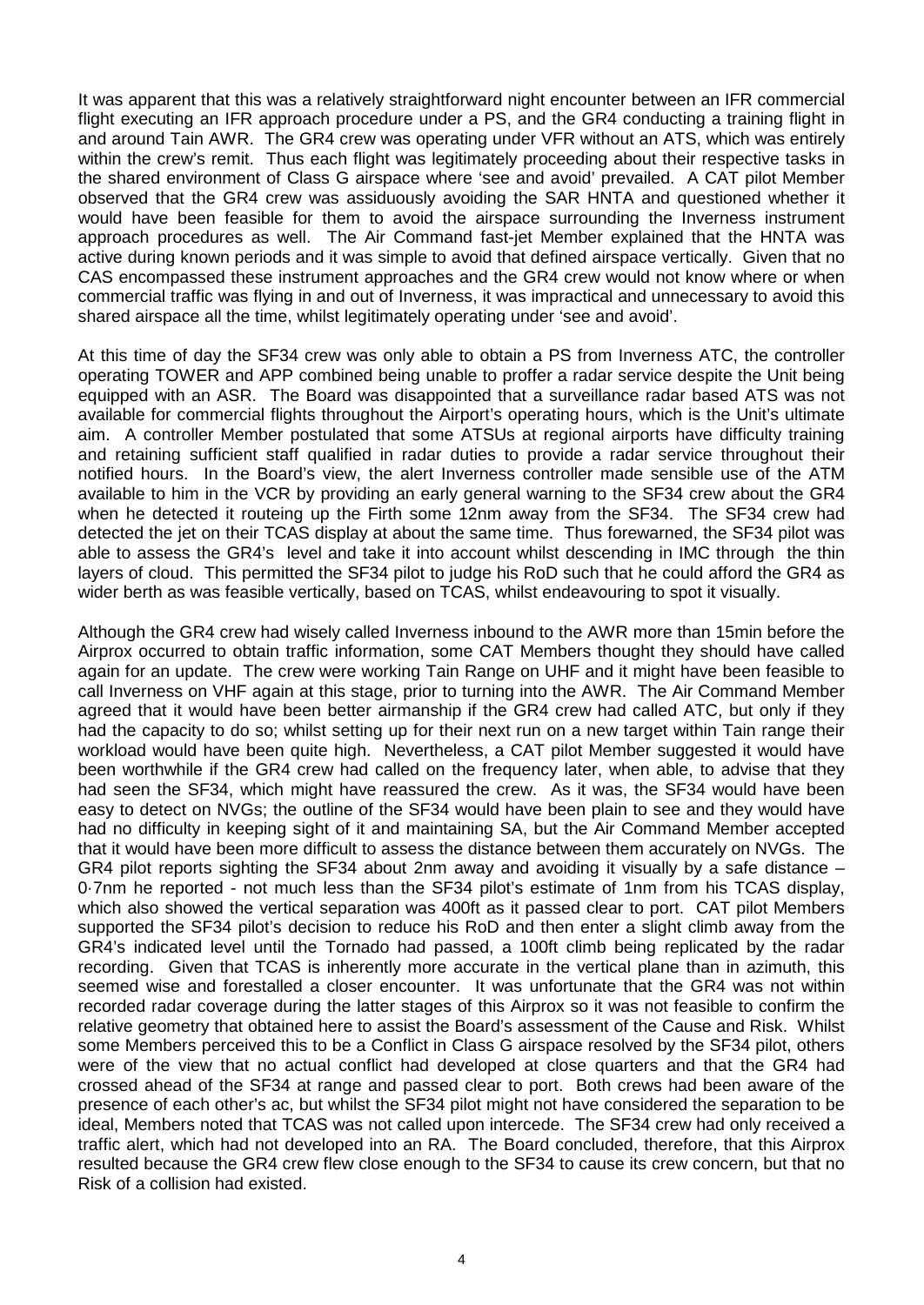It was apparent that this was a relatively straightforward night encounter between an IFR commercial flight executing an IFR approach procedure under a PS, and the GR4 conducting a training flight in and around Tain AWR. The GR4 crew was operating under VFR without an ATS, which was entirely within the crew's remit. Thus each flight was legitimately proceeding about their respective tasks in the shared environment of Class G airspace where 'see and avoid' prevailed. A CAT pilot Member observed that the GR4 crew was assiduously avoiding the SAR HNTA and questioned whether it would have been feasible for them to avoid the airspace surrounding the Inverness instrument approach procedures as well. The Air Command fast-jet Member explained that the HNTA was active during known periods and it was simple to avoid that defined airspace vertically. Given that no CAS encompassed these instrument approaches and the GR4 crew would not know where or when commercial traffic was flying in and out of Inverness, it was impractical and unnecessary to avoid this shared airspace all the time, whilst legitimately operating under 'see and avoid'.

At this time of day the SF34 crew was only able to obtain a PS from Inverness ATC, the controller operating TOWER and APP combined being unable to proffer a radar service despite the Unit being equipped with an ASR. The Board was disappointed that a surveillance radar based ATS was not available for commercial flights throughout the Airport's operating hours, which is the Unit's ultimate aim. A controller Member postulated that some ATSUs at regional airports have difficulty training and retaining sufficient staff qualified in radar duties to provide a radar service throughout their notified hours. In the Board's view, the alert Inverness controller made sensible use of the ATM available to him in the VCR by providing an early general warning to the SF34 crew about the GR4 when he detected it routeing up the Firth some 12nm away from the SF34. The SF34 crew had detected the jet on their TCAS display at about the same time. Thus forewarned, the SF34 pilot was able to assess the GR4's level and take it into account whilst descending in IMC through the thin layers of cloud. This permitted the SF34 pilot to judge his RoD such that he could afford the GR4 as wider berth as was feasible vertically, based on TCAS, whilst endeavouring to spot it visually.

Although the GR4 crew had wisely called Inverness inbound to the AWR more than 15min before the Airprox occurred to obtain traffic information, some CAT Members thought they should have called again for an update. The crew were working Tain Range on UHF and it might have been feasible to call Inverness on VHF again at this stage, prior to turning into the AWR. The Air Command Member agreed that it would have been better airmanship if the GR4 crew had called ATC, but only if they had the capacity to do so; whilst setting up for their next run on a new target within Tain range their workload would have been quite high. Nevertheless, a CAT pilot Member suggested it would have been worthwhile if the GR4 crew had called on the frequency later, when able, to advise that they had seen the SF34, which might have reassured the crew. As it was, the SF34 would have been easy to detect on NVGs; the outline of the SF34 would have been plain to see and they would have had no difficulty in keeping sight of it and maintaining SA, but the Air Command Member accepted that it would have been more difficult to assess the distance between them accurately on NVGs. The GR4 pilot reports sighting the SF34 about 2nm away and avoiding it visually by a safe distance – 0·7nm he reported - not much less than the SF34 pilot's estimate of 1nm from his TCAS display, which also showed the vertical separation was 400ft as it passed clear to port. CAT pilot Members supported the SF34 pilot's decision to reduce his RoD and then enter a slight climb away from the GR4's indicated level until the Tornado had passed, a 100ft climb being replicated by the radar recording. Given that TCAS is inherently more accurate in the vertical plane than in azimuth, this seemed wise and forestalled a closer encounter. It was unfortunate that the GR4 was not within recorded radar coverage during the latter stages of this Airprox so it was not feasible to confirm the relative geometry that obtained here to assist the Board's assessment of the Cause and Risk. Whilst some Members perceived this to be a Conflict in Class G airspace resolved by the SF34 pilot, others were of the view that no actual conflict had developed at close quarters and that the GR4 had crossed ahead of the SF34 at range and passed clear to port. Both crews had been aware of the presence of each other's ac, but whilst the SF34 pilot might not have considered the separation to be ideal, Members noted that TCAS was not called upon intercede. The SF34 crew had only received a traffic alert, which had not developed into an RA. The Board concluded, therefore, that this Airprox resulted because the GR4 crew flew close enough to the SF34 to cause its crew concern, but that no Risk of a collision had existed.